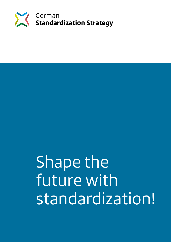

Shape the future with standardization!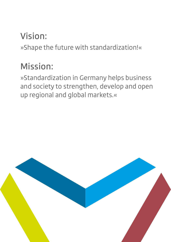# Vision:

»Shape the future with standardization!«

# Mission:

»Standardization in Germany helps business and society to strengthen, develop and open up regional and global markets.«

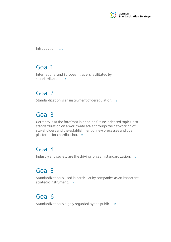

Introduction  $s, 5$ 

## Goal 1

International and European trade is facilitated by standardization  $6$ 

## Goal 2

Standardization is an instrument of deregulation. 8

## Goal 3

Germany is at the forefront in bringing future-oriented topics into standardization on a worldwide scale through the networking of stakeholders and the establishment of new processes and open platforms for coordination. 10

## Goal 4

Industry and society are the driving forces in standardization. <sup>12</sup>

## Goal 5

Standardization is used in particular by companies as an important strategic instrument. 14

## Goal 6

Standardization is highly regarded by the public. 16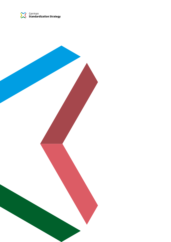

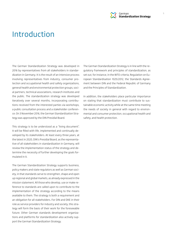

## Introduction

The German Standardization Strategy was developed in 2016 by representatives from all stakeholders in standardization in Germany. It is the result of an intensive process involving representatives from industry, consumer protection and occupational health and safety organizations, general health and environmental protection groups, social partners, technical associations, research institutes and the public. The standardization strategy was developed iteratively over several months, incorporating contributions received from the interested parties via workshops, a public consultation process and a stakeholder conference. On 3 November 2016, the German Standardization Strategy was approved by the DIN Presidial Board.

This strategy is to be understood as a "living document". It will be filled with life, implemented and continually developed by its stakeholders. At least every three years, at the latest in 2020, DIN's Presidial Board, as the representative of all stakeholders in standardization in Germany, will review the implementation status of the strategy and determine the necessity of further developing the goals formulated in it.

The German Standardization Strategy supports business, policy makers and state regulators as well as German society, in that standards serve to strengthen, shape and open up regional and global markets, as already expressed in the mission statement. All those who develop, use or make reference to standards are called upon to contribute to the implementation of the strategy according to the means available to them. The strategy is both a requirement and an obligation for all stakeholders. For DIN and DKE in their role as service providers for industry and society, this strategy will form the basis of their work for the foreseeable future. Other German standards development organizations and platforms for standardization also actively support the German Standardization Strategy.

The German Standardization Strategy is in line with the regulatory framework and principles of standardization, as set out, for instance, in the WTO criteria, Regulation on European Standardisation 1025/2012, the Standards Agreement between DIN and the Federal Republic of Germany and the Principles of Standardization.

In addition, the stakeholders place particular importance on stating that standardization must contribute to sustainable economic activity while at the same time meeting the needs of society in general with regard to environmental and consumer protection, occupational health and safety, and health protection.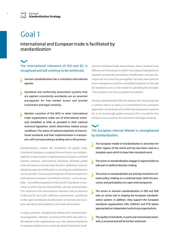#### International and European trade is facilitated by standardization

#### The international relevance of ISO and IEC is recognized and will continue to be reinforced.

- German standardization has a consistent international agenda.
- Standards and conformity assessment systems that are applied consistently worldwide are an essential prerequisite for free market access and provide investment and legal certainty.
- Member countries of the WTO or other international trade organizations make use of international standards (modified as little as possible) in their national technical legislation, which determines market access conditions. The status of national adoptions of international standards and their implementation is transparent, with Germany taking a leading role in this process.

Standardization creates the foundation for global trade. Consistent standards, accepted the world over, are indispensable for enhancing the competitiveness of export-oriented German industry. International standards facilitate global trade and help to remove trade barriers; additional costs for obtaining regional certification or carrying out multiple tests can be avoided. The active participation of German experts in international standards committees and the - as far as possible - unmodified adoption of ISO and IEC Standards in Germany, as well as by its trade partners, are key prerequisites. This reinforces the international relevance and acceptance of ISO and IEC and, with sufficient commitment, contributes to the rapid worldwide dissemination of German and European standards deliverables to international markets.

In many countries, standards are referenced in national technical legislation. Member countries of the WTO and other international trade organizations use International Standards to regulate market access and to lay down framework conditions for facilitated trade. Nevertheless, there continue to be differences in the extent to which International Standards are adopted consistently and without modification, and also discrepancies as to how they are applied. Germany advocates for more transparency and the unmodified adoption of ISO and IEC Standards and is a role model for upholding the principle: "One standard, one test, accepted everywhere."

German standardization fills this leading role. Having reached a common stance on policy, it is committed to the consistent application of standards and conformity assessment systems for, in an increasingly global economy, this is crucial for free market access as well as for investment and legal certainty.

#### The European Internal Market is strengthened by standardization.

- The European model of standardization is attractive for other regions of the world and has also been used as a template upon which to base their standards work.
- The actors in standardization engage in opportunities to take part in political decision making.
- The actors in standardization are actively involved in relevant policy-making on a continual basis. Both the processes and participation are open and transparent.
- The actors in German standardization in DIN and DKE take an active role in shaping the European standardization system; in addition, they support the European standards organizations CEN, CENELEC and ETSI (when appropriate) as independent and strong organizations.
- The quality of standards, in particular harmonized standards, is ensured and will be further enhanced.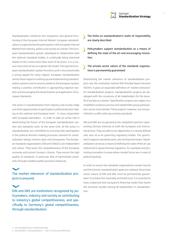

Standardization reinforces the integration and general functioning of the European Internal Market. European standardization is supported by the participants in the European Internal Market from industry, politics and society as a whole. The European standardization system, developed in collaboration with the national standards bodies, is continually being improved thanks to the constructive team work of all actors. It is a success story that serves as a global role model. The way the European standardization system functions and is structured holds a strong appeal for many regions. European standardization assists these regions in setting up and implementing standardization systems and structures similar to the European system, making a positive contribution in approaching regional markets and encouraging the dissemination and application of European Standards.

The actors in standardization from industry and society make use of the opportunities to participate in political decision making at the national and European level - in close cooperation with European lawmakers - in order to take an active role in determining the future of the European standardization system and standards work. At the same time, all the actors in standardization are committed to ensuring that participation in the political decision-making processes relevant for standardization always remains open and transparent. The European standards organizations CEN and CENELEC are independent and robust. They boost the competitiveness of the European economy and protect Europe's citizens. They ensure the high quality of standards, in particular that of harmonized standards, through suitable quality assurance measures.

### The market relevance<sup>1</sup> of standardization projects is ensured.

DIN and DKE are institutions recognized by policymakers, industry and society as contributing to industry's global competitiveness, and specifically to Germany's global competitiveness, through standardization.

- The limits on standardization's realm of responsibility are clearly described.
- Policymakers support standardization as a means of defining the state of the art and encouraging innovation.
- The private sector nature of the standards organizations is permanently guaranteed.

Determining the market relevance of standardization projects was the motivation behind DIN Presidial Board Decision 18/2013. It gives an expanded definition of "market relevance" for standardization projects. Standardization projects are developed with the consensus of all stakeholders for the benefit of society as a whole.<sup>2</sup> Specification projects are subject to a simplified consensus process and stakeholder group participation can be more limited. These projects, however, are not permitted to conflict with any existing standards.

DIN and DKE are recognized as the competent partners representing German interests at both the European and international level. They are able to act objectively in a clearly defined role, also vis-à-vis governing regulatory bodies. The government supports standards work, also by financial means: Standardization serves as a means of defining the state of the art, (as referenced in governmental regulation, for example) and promoting innovation in areas where market forces are in need of political backing.

In order to ensure the standards organizations remain neutral and the German standardization goals are realized, the private sector nature of DIN and DKE must be permanently guaranteed. To achieve this neutrality and build trust, it is essential to have a balanced and transparent financing model that shares the economic burden among all stakeholders in standardization.

<sup>2.</sup> See DIN 820-3, Standardization — Part 3: Terms and definitions.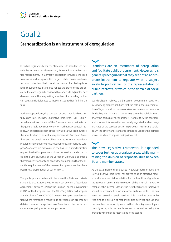#### Standardization is an instrument of deregulation.

In certain legislative texts, the State refers to standards to provide the technical details necessary for compliance with essential requirements. In Germany, legislation provides the legal framework and sets protection targets, while consensus-based technical rules describe in detail the means of achieving those legal requirements. Standards reflect the state of the art because they are regularly reviewed by experts to adjust for new developments. This way setting standards for detailing technical regulation is delegated to those most suited for fulfilling the task.

At the European level, this concept has been practised successfully since 1985. The New Legislative Framework (NLF) is an internal market instrument of the European Union that sets out the general legislative framework for marketing products in Europe. An important aspect of the New Legislative Framework is the specification of essential requirements in European Directives and the development of harmonized European Standards providing more detail to these requirements. Harmonized European Standards are drawn up on the basis of a standardization request by the European Commission. Once this standard is cited in the Official Journal of the European Union, it is deemed a "harmonized" standard and allows the presumption that the essential requirements of the relevant European directives have been met ("presumption of conformity").

The public-private partnership between the State and private standards organizations was formally set down in a "Standards Agreement" between DIN and the German Federal Government in 1975. At the European level, the EU's "Regulation on European Standardisation" No. 1025/2012 governs European standardization where reference is made to its deliverables in order to set detailed rules for the application of Directives, or for public procurement or policy enforcement purposes.

Standards are an instrument of deregulation and facilitate public procurement. However, it is generally recognized that they are not an appropriate instrument to regulate what is subject solely to political will or the representation of public interests, or which is the domain of social partners.

Standardization relieves the burden on government regulators by specifying detailed solutions that can help in the implementation of legal provisions. However, standards are not appropriate for dealing with issues that exclusively serve the public interest or are the domain of social partners. Nor are they the appropriate instrument for areas that are heavily regulated, such as many branches of the services sector, in particular health care services. On the other hand, standards cannot be used by the political powers as a tool to impose their political will.

The New Legislative Framework is expanded to cover further appropriate areas, while maintaining the division of responsibilities between EU and member states.

As the extension of the so-called "New Approach" of 1985, the New Legislative Framework has proven to be an effective model, and is an essential foundation for the free flow of goods in the European Union and the creation of the Internal Market. To complete the Internal Market, the New Legislative Framework should be expanded to include other suitable sectors, as has been the case with certain services. This should be done while retaining the division of responsibilities between the EU and the member states as stipulated in the Lisbon Agreement, particularly as regards the healthcare sector, as well as taking the previously mentioned restrictions into account.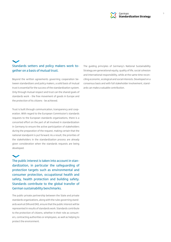

### Standards setters and policy makers work together on a basis of mutual trust.

Beyond the written agreements governing cooperation between standardizers and policy makers, a solid basis of mutual trust is essential for the success of the standardization system. Only through mutual respect and trust can the shared goals of standards work - the free movement of goods in Europe and the protection of its citizens - be achieved.

Trust is built through communication, transparency and cooperation. With regard to the European Commission's standards requests to the European standards organizations, there is a concerted effort on the part of all involved in standardization in Germany to ensure the active participation of stakeholders during the preparation of the request, making certain that the national standpoint is put forward. As a result, the priorities of the stakeholders in the standardization process are already given consideration when the standards requests are being developed.

The public interest is taken into account in standardization, in particular the safeguarding of protection targets such as environmental and consumer protection, occupational health and safety, health protection and building safety. Standards contribute to the global transfer of German sustainability benchmarks.

The public-private partnership between the State and private standards organizations, along with the rules governing standards work at DIN and DKE, ensure that the public interest will be represented in results of standards work. Standards contribute to the protection of citizens, whether in their role as consumers, contracting authorities or employees, as well as helping to protect the environment.

The guiding principles of Germany's National Sustainability Strategy are generational equity, quality of life, social cohesion and international responsibility, while at the same time reconciling economic, ecological and social interests. Developed on a consensus basis and with full stakeholder involvement, standards can make a valuable contribution.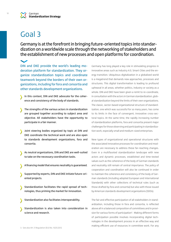Germany is at the forefront in bringing future-oriented topics into standardization on a worldwide scale through the networking of stakeholders and the establishment of new processes and open platforms for coordination.

DIN and DKE provide the world's leading moderation platform for standardization. They organize standardization topics and coordinate teamwork beyond the borders of their own organizations, including for fora and consortia and other standards development organizations.

- In this context, DIN and DKE advocate for the coherence and consistency of the body of standards.
- The strengths of the various actors in standardization are grouped together according to subject area and objective. All stakeholders have the opportunity to participate in a fair manner.
- Joint steering bodies organized by topic at DIN and DKE coordinate the technical work and are also open to standards development organizations, fora and consortia.
- As neutral organizations, DIN and DKE are well-suited to take on the necessary coordination tasks.
- A financing model that ensures neutrality is guaranteed.
- Supported by experts, DIN and DKE initiate future-oriented projects.
- Standardization facilitates the rapid spread of technologies, thus priming the market for innovation.
- Standardization also facilitates interoperability.
- Standardization is also taken into consideration in science and research.

Germany has long played a key role in stimulating progress in innovative areas such as Industry 4.0, Smart Cities and the energy transition. Ubiquitous digitalization in a globalized world is a megatrend that demands new approaches, processes and structures. This digital transformation is leading to profound upheaval in all areas, whether politics, industry or society as a whole. DIN and DKE have been given a remit to re-coordinate, in consultation with the actors in German standardization, global standardization beyond the limits of their own organizations. The classic, sector-based organizational structure of standardization, one which was successful for so many years, has come to its limits in the face of convergent, innovative cross-sectoral topics. At the same time, the rapidly increasing number of standardization platforms, fora and consortia present major challenges for those observing and participating in standardization work, especially small and medium-sized enterprises.

New types of organizational and operational structures with the associated innovative processes for coordination and moderation are necessary to address these far-reaching changes. Even in a multifaceted standardization landscape with new actors and dynamic processes, established and time-tested values such as the coherence of the body of German standards and neutrality still remain of central importance. The policy of cooperation and coordination will also be continued in order to maintain the coherence and consistency of the body of German standards (including adopted European and International Standards) with other collections of technical rules (such as those drafted by fora and consortia) but also with those issued by American standards development organizations (SDOs).

The fair and effective participation of all stakeholders in standardization, including those in fora and consortia, is reflected above all in a balanced composition of committees and in provision for various forms of participation<sup>3</sup>. Making different forms of participation possible involves incorporating digital technologies in the development process in an effective way and making efficient use of resources in committee work. For any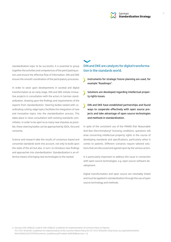

standardization topic to be successful, it is essential to group together the activities and competences of the participating actors and ensure the effective flow of information. DIN and DKE ensure the smooth coordination of the participatory processes.

In order to seize upon developments in societal and digital transformation at an early stage, DIN and DKE initiate innovative projects in consultation with the actors in German standardization, drawing upon the findings and requirements of the experts from standardization. Steering bodies tasked with coordinating cutting-edge topics facilitate the integration of new and innovative topics into the standardization process. This takes place in close consultation with existing standards committees. In order to be open to as many new impulses as possible, these steering bodies can be approached by SDOs, fora and consortia.

Science and research take the results of consensus-based and consortial standards work into account, not only to build upon the state of the art but also, in turn, to introduce new findings and approaches into standardization. Standardization is an effective means of bringing new technologies to the market.

#### DIN and DKE are catalysts for digital transformation in the standards world.

Instruments for strategic future planning are used, for ↘ example "Roadmaps".

Solutions are developed regarding intellectual property rights issues.

DIN and DKE have established partnerships and found ways to cooperate effectively with open source projects and take advantage of open source technologies and methods in standardization.

In spite of the consistent use of the FRAND (Fair Reasonable And Non-Discriminatory)<sup>4</sup> licensing conditions, questions still arise concerning intellectual property rights in the course of developing standards and specifications, particularly when it comes to patents. Different scenarios require tailored solutions that are discussed and agreed upon by the various actors.

It is particularly important to address this issue in connection with open source technologies, e.g. open source software development.

Digital transformation and open source are inevitably linked and must be applied in standardization through the use of open source technology and methods.

4. See also CEN-CENELEC Guide 8: CEN-CENELEC Guidelines for Implementation of Common Policy on Patents ITU-T/ITU-R/ISO/IEC Guidelines for Implementation of the Common Patent Policy for ITU-T/ITU-R/ISO/IEC (http://isotc.iso.org/livelink/livelink/ fetch/2000/2122/3770791/Common\_Guidelines.pdf?nodeid=6295394&vernum=-2)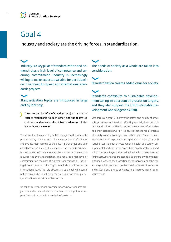Industry and society are the driving forces in standardization.

Industry is a key pillar of standardization and demonstrates a high level of competence and enduring commitment. Industry is increasingly willing to make experts available for participation in national, European and international standards projects.

#### Standardization topics are introduced in large part by industry.

The costs and benefits of standards projects are in the correct relationship to each other, and the follow-up costs of standards are taken into consideration. Suitable tools are developed.

The disruptive forces of digital technologies will continue to produce many changes in coming years. All areas of industry and society must face up to the ensuing challenges and take an active part in shaping the changes. One useful instrument is the transfer of innovations to the market, a process that is supported by standardization. This requires a high level of commitment on the part of experts from companies, including those experts participating in technical committees at the international level. The role of Germany as a leading industrial nation can only be solidified by the timely and intensive participation of its experts in standardization.

On top of purely economic considerations, new standards projects must also be evaluated on the basis of their potential impact. This calls for a holistic analysis of projects.

The needs of society as a whole are taken into consideration.

Standardization creates added value for society.

Standards contribute to sustainable development taking into account all protection targets, and they also support the UN Sustainable Development Goals (Agenda 2030).

Standards can greatly improve the safety and quality of products, processes and services, affecting our daily lives both directly and indirectly. Thanks to the involvement of all stakeholders in standards work, it is ensured that the requirements of society are acknowledged and acted upon. These requirements are based on protection targets which develop through social discourse, such as occupational health and safety, environmental and consumer protection, health protection and building safety. Beyond their added value in monetary terms for industry, standards are essential to ensure environmentally sound practices, the protection of the individual and the collective good. Aspects such as the sustainable use of resources, and material and energy efficiency help improve market competitiveness.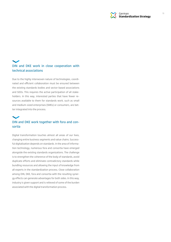

## DIN and DKE work in close cooperation with technical associations

Due to the highly interwoven nature of technologies, coordinated and efficient collaboration must be ensured between the existing standards bodies and sector-based associations and SDOs. This requires the active participation of all stakeholders. In this way, interested parties that have fewer resources available to them for standards work, such as small and medium-sized enterprises (SMEs) or consumers, are better integrated into the process.

## DIN and DKE work together with fora and consortia

Digital transformation touches almost all areas of our lives, changing entire business segments and value chains. Successful digitalization depends on standards. In the area of information technology, numerous fora and consortia have emerged alongside the existing standards organizations. The challenge is to strengthen the coherence of the body of standards, avoid duplicate efforts and eliminate contradictory standards while bundling resources and allowing the input of knowledge from all experts in the standardization process. Close collaboration among DIN, DKE, fora and consortia with the resulting synergy effects can generate advantages for both sides. In this way, industry is given support and is relieved of some of the burden associated with the digital transformation process.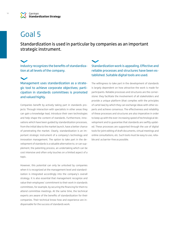Standardization is used in particular by companies as an important strategic instrument.

#### Industry recognizes the benefits of standardization at all levels of the company.

Management uses standardization as a strategic tool to achieve corporate objectives; participation in standards committees is promoted and valued highly.

Companies benefit by actively taking part in standards projects: Through interaction with specialists in other areas they can gain a knowledge lead, introduce their own technologies and help shape the content of standards. Furthermore, innovations which have been guided by standardization processes, from the initial idea to the market launch, have a better chance of penetrating the market. Clearly, standardization is an important strategic instrument of a company's technology and innovation management. The option to take part in the development of standards is a valuable alternative to, or can supplement, the patenting process, an undertaking which can be cost intensive and often only touches on a limited aspect of a topic.

However, this potential can only be unlocked by companies when it is recognized at the management level and standardization is integrated accordingly into the company's overall strategy. It is also essential that management recognize and value their employees' commitment to their work in standards committees, for example, by securing the financing for them to attend committee meetings. At the same time, the technical experts are aware of the benefits of standardization for their companies. Their technical know-how and experience are indispensable for the success of standards work.

#### Standardization work is appealing. Effective and reliable processes and structures have been established. Suitable digital tools are used.

The willingness to take part in the development of standards is largely dependent on how attractive the work is made for participants. Reliable processes and structures are the cornerstone: they facilitate the involvement of all stakeholders and provide a unique platform (that complies with the principles of cartel law) by which they can exchange ideas with other experts and achieve consensus. The effectiveness and reliability of these processes and structures are also imperative in order to keep up with the ever-increasing speed of technological development and to guarantee that standards are swiftly updated. These processes are supported through the use of digital tools for joint editing of draft documents, virtual meetings and online consultations, etc. Such tools must be easy to use, reliable and as barrier-free as possible.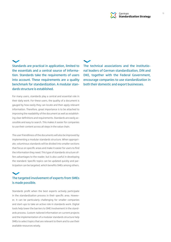

Standards are practical in application, limited to the essentials and a central source of information. Standards take the requirements of users into account. These requirements are a quality benchmark for standardization. A modular standards structure is established.

For many users, standards play a central and essential role in their daily work. For these users, the quality of a document is gauged by how easily they can locate and then apply relevant information. Therefore, great importance is to be attached to improving the readability of the document as well as establishing clear definitions and requirements. Standards are easily accessible and easy to search. This makes it easier for companies to use their content across all steps in the value chain.

The user friendliness of the documents will also be improved by implementing a modular standards structure. When appropriate, voluminous standards will be divided into smaller sections that focus on specific areas and make it easier for users to find the information they need. This type of standards structure offers advantages to the reader, but is also useful in developing the standard. Specific topics can be updated quickly and participation can be targeted, which benefits SMEs among others.

### The targeted involvement of experts from SMEs is made possible.

Standards profit when the best experts actively participate in the standardization process in their specific area. However, it can be particularly challenging for smaller companies and start-ups to take an active role in standards work. Digital tools help lower the barriers to SME involvement in the standards process. Custom-tailored information on current projects and the implementation of a modular standards structure help SMEs to select topics that are relevant to them and to use their available resources wisely.

The technical associations and the institutional leaders of German standardization, DIN and DKE, together with the Federal Government, encourage companies to use standardization in both their domestic and export businesses.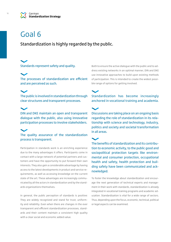Standardization is highly regarded by the public.

Standards represent safety and quality.

The processes of standardization are efficient and are perceived as such.

The public is involved in standardization through clear structures and transparent processes.

DIN and DKE maintain an open and transparent dialogue with the public, also using innovative participation processes to involve stakeholders.



The quality assurance of the standardization process is transparent.

Participation in standards work is an enriching experience due to the many advantages it offers. Participants come in contact with a large network of potential partners and customers and have the opportunity to put forward their own interests. They also gain a considerable advantage by having access to the latest developments in product and service requirements, as well as accessing knowledge on the current state of the art. These advantages are increasingly communicated by all the actors in standardization and by the standards organizations themselves.

In general, the public perception of standards is positive: They are widely recognized and stand for trust, uniformity and reliability. Even when there are changes in the ever transparent and efficient standardization processes, standards and their content maintain a consistent high quality with a clear social and economic added value.

Both to ensure the active dialogue with the public and to address existing networks in an optimal manner, DIN and DKE use innovative approaches to build upon existing methods of participation. This is intended to create the widest possible range of options for getting involved.

Standardization has become increasingly anchored in vocational training and academia.

Discussions are taking place on an ongoing basis regarding the role of standardization in its relationship with science and technology, industry, politics and society and societal transformation in all areas.

The benefits of standardization and its contribution to economic activity, to the public good and sociopolitical protection targets like environmental and consumer protection, occupational health and safety, health protection and building safety have been communicated and acknowledged.

To foster the knowledge about standardization and encourage the next generation of technical experts and management in their work with standards, standardization is already integrated in vocational training programs and academic education. Standardization is vital for a wide range of sectors. Thus, depending upon the focus, economic, technical, political or legal aspects can be examined.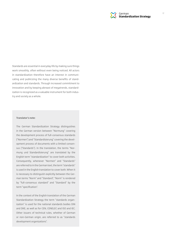

Standards are essential in everyday life by making sure things work smoothly, often without even being noticed. All actors in standardization therefore have an interest in communicating and publicizing the many diverse benefits of standardization and standards. Through increased commitment to innovation and by keeping abreast of megatrends, standardization is recognized as a valuable instrument for both industry and society as a whole.

#### **Translator's note:**

The German Standardization Strategy distinguishes in the German version between "Normung" covering the development process of full-consensus standards ("Normen") and "Standardisierung" covering the development process of documents with a limited consensus ("Standards"). In the translation, the terms "Normung und Standardisierung" are translated by the English term "standardization" to cover both activities. Consequently, whenever "Normen" and "Standards" are referred to in the German text, the term "standards" is used in the English translation to cover both. When it is necessary to distinguish explicitly between the German terms "Norm" and "Standard", "Norm" is rendered by "full-consensus standard" and "Standard" by the term "specification".

In the context of the English translation of the German Standardization Strategy the term "standards organization" is used for the national standards bodies DIN and DKE, as well as for CEN, CENELEC and ISO and IEC. Other issuers of technical rules, whether of German or non-German origin, are referred to as "standards development organizations".